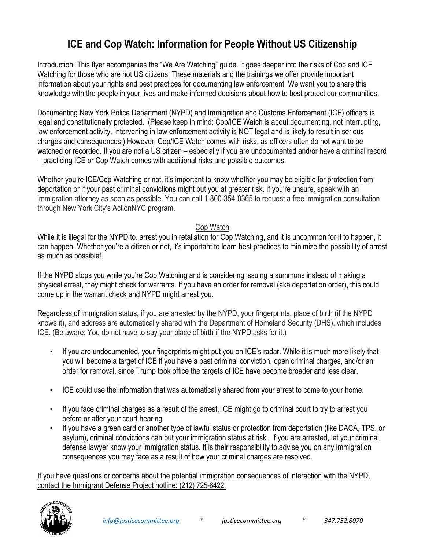## **ICE and Cop Watch: Information for People Without US Citizenship**

Introduction: This flyer accompanies the "We Are Watching" guide. It goes deeper into the risks of Cop and ICE Watching for those who are not US citizens. These materials and the trainings we offer provide important information about your rights and best practices for documenting law enforcement. We want you to share this knowledge with the people in your lives and make informed decisions about how to best protect our communities.

Documenting New York Police Department (NYPD) and Immigration and Customs Enforcement (ICE) officers is legal and constitutionally protected. (Please keep in mind: Cop/ICE Watch is about documenting, not interrupting, law enforcement activity. Intervening in law enforcement activity is NOT legal and is likely to result in serious charges and consequences.) However, Cop/ICE Watch comes with risks, as officers often do not want to be watched or recorded. If you are not a US citizen – especially if you are undocumented and/or have a criminal record – practicing ICE or Cop Watch comes with additional risks and possible outcomes.

Whether you're ICE/Cop Watching or not, it's important to know whether you may be eligible for protection from deportation or if your past criminal convictions might put you at greater risk. If you're unsure, speak with an immigration attorney as soon as possible. You can call 1-800-354-0365 to request a free immigration consultation through New York City's ActionNYC program.

## Cop Watch

While it is illegal for the NYPD to. arrest you in retaliation for Cop Watching, and it is uncommon for it to happen, it can happen. Whether you're a citizen or not, it's important to learn best practices to minimize the possibility of arrest as much as possible!

If the NYPD stops you while you're Cop Watching and is considering issuing a summons instead of making a physical arrest, they might check for warrants. If you have an order for removal (aka deportation order), this could come up in the warrant check and NYPD might arrest you.

Regardless of immigration status, if you are arrested by the NYPD, your fingerprints, place of birth (if the NYPD knows it), and address are automatically shared with the Department of Homeland Security (DHS), which includes ICE. (Be aware: You do not have to say your place of birth if the NYPD asks for it.)

- If you are undocumented, your fingerprints might put you on ICE's radar. While it is much more likely that you will become a target of ICE if you have a past criminal conviction, open criminal charges, and/or an order for removal, since Trump took office the targets of ICE have become broader and less clear.
- ICE could use the information that was automatically shared from your arrest to come to your home.
- If you face criminal charges as a result of the arrest, ICE might go to criminal court to try to arrest you before or after your court hearing.
- If you have a green card or another type of lawful status or protection from deportation (like DACA, TPS, or asylum), criminal convictions can put your immigration status at risk. If you are arrested, let your criminal defense lawyer know your immigration status. It is their responsibility to advise you on any immigration consequences you may face as a result of how your criminal charges are resolved.

If you have questions or concerns about the potential immigration consequences of interaction with the NYPD, contact the Immigrant Defense Project hotline: (212) 725-6422.